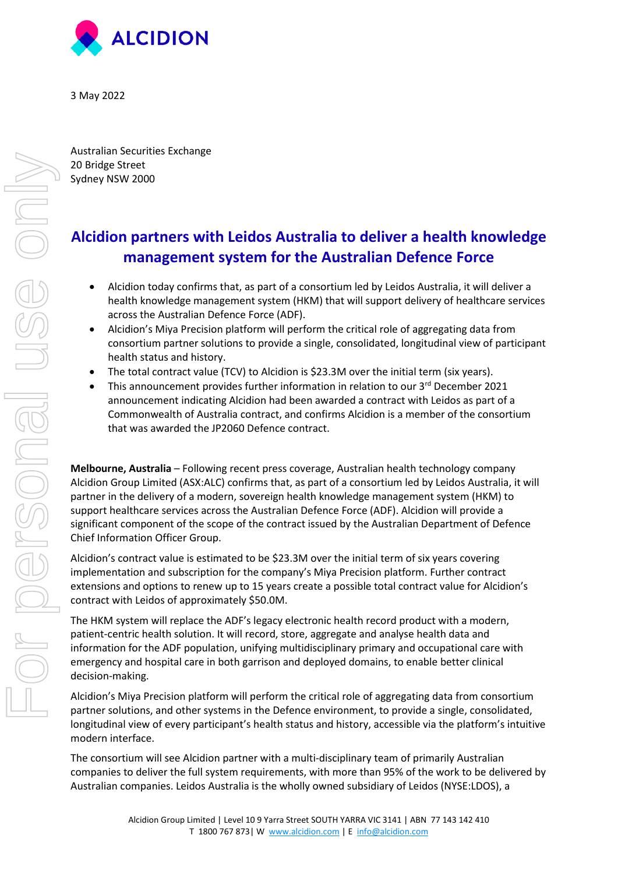

3 May 2022

Australian Securities Exchange 20 Bridge Street Sydney NSW 2000

## **Alcidion partners with Leidos Australia to deliver a health knowledge management system for the Australian Defence Force**

- Alcidion today confirms that, as part of a consortium led by Leidos Australia, it will deliver a health knowledge management system (HKM) that will support delivery of healthcare services across the Australian Defence Force (ADF).
- Alcidion's Miya Precision platform will perform the critical role of aggregating data from consortium partner solutions to provide a single, consolidated, longitudinal view of participant health status and history.
- The total contract value (TCV) to Alcidion is \$23.3M over the initial term (six years).
- This announcement provides further information in relation to our 3rd December 2021 announcement indicating Alcidion had been awarded a contract with Leidos as part of a Commonwealth of Australia contract, and confirms Alcidion is a member of the consortium that was awarded the JP2060 Defence contract.

**Melbourne, Australia** – Following recent press coverage, Australian health technology company Alcidion Group Limited (ASX:ALC) confirms that, as part of a consortium led by Leidos Australia, it will partner in the delivery of a modern, sovereign health knowledge management system (HKM) to support healthcare services across the Australian Defence Force (ADF). Alcidion will provide a significant component of the scope of the contract issued by the Australian Department of Defence Chief Information Officer Group.

Alcidion's contract value is estimated to be \$23.3M over the initial term of six years covering implementation and subscription for the company's Miya Precision platform. Further contract extensions and options to renew up to 15 years create a possible total contract value for Alcidion's contract with Leidos of approximately \$50.0M.

The HKM system will replace the ADF's legacy electronic health record product with a modern, patient-centric health solution. It will record, store, aggregate and analyse health data and information for the ADF population, unifying multidisciplinary primary and occupational care with emergency and hospital care in both garrison and deployed domains, to enable better clinical decision-making.

Alcidion's Miya Precision platform will perform the critical role of aggregating data from consortium partner solutions, and other systems in the Defence environment, to provide a single, consolidated, longitudinal view of every participant's health status and history, accessible via the platform's intuitive modern interface.

The consortium will see Alcidion partner with a multi-disciplinary team of primarily Australian companies to deliver the full system requirements, with more than 95% of the work to be delivered by Australian companies. Leidos Australia is the wholly owned subsidiary of Leidos (NYSE:LDOS), a